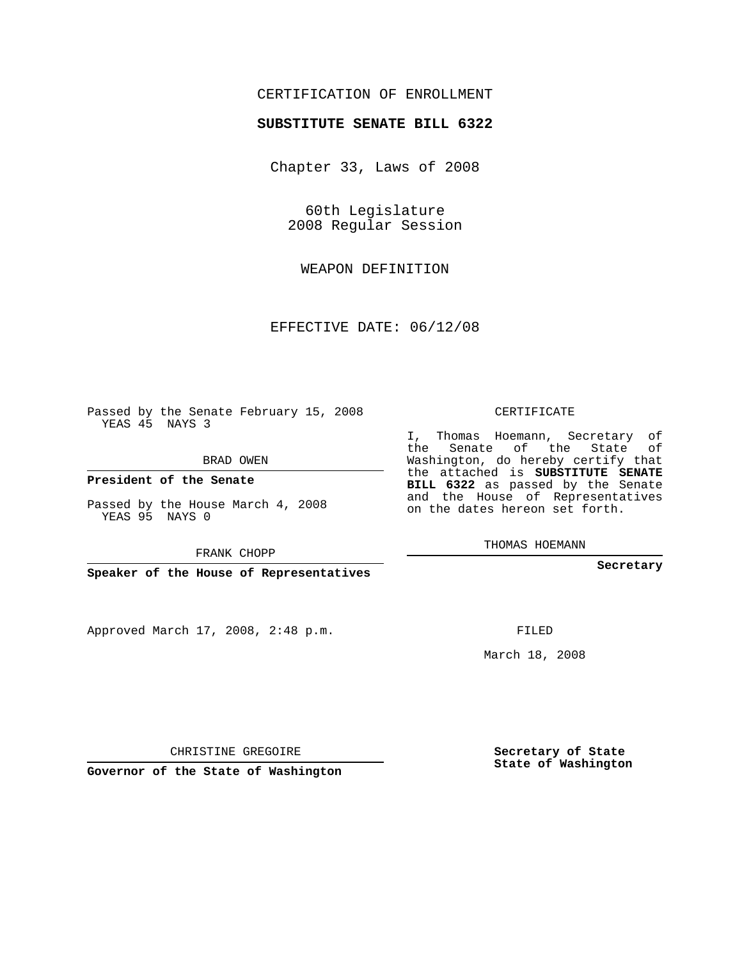## CERTIFICATION OF ENROLLMENT

### **SUBSTITUTE SENATE BILL 6322**

Chapter 33, Laws of 2008

60th Legislature 2008 Regular Session

WEAPON DEFINITION

EFFECTIVE DATE: 06/12/08

Passed by the Senate February 15, 2008 YEAS 45 NAYS 3

BRAD OWEN

**President of the Senate**

Passed by the House March 4, 2008 YEAS 95 NAYS 0

FRANK CHOPP

**Speaker of the House of Representatives**

Approved March 17, 2008, 2:48 p.m.

CERTIFICATE

I, Thomas Hoemann, Secretary of the Senate of the State of Washington, do hereby certify that the attached is **SUBSTITUTE SENATE BILL 6322** as passed by the Senate and the House of Representatives on the dates hereon set forth.

THOMAS HOEMANN

**Secretary**

FILED

March 18, 2008

**Secretary of State State of Washington**

CHRISTINE GREGOIRE

**Governor of the State of Washington**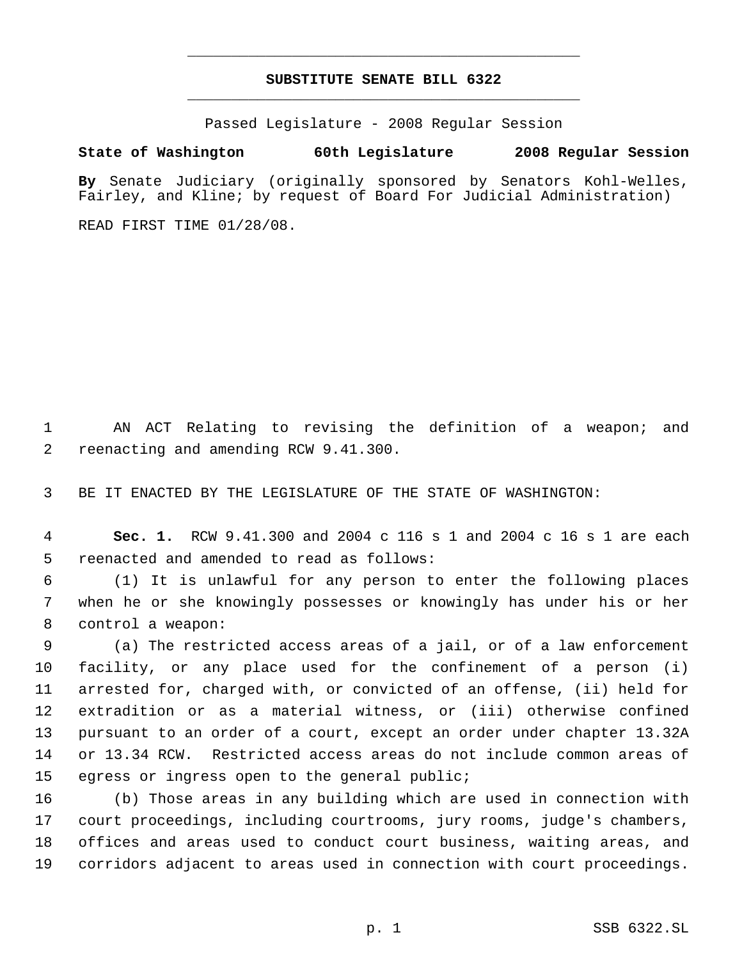## **SUBSTITUTE SENATE BILL 6322** \_\_\_\_\_\_\_\_\_\_\_\_\_\_\_\_\_\_\_\_\_\_\_\_\_\_\_\_\_\_\_\_\_\_\_\_\_\_\_\_\_\_\_\_\_

\_\_\_\_\_\_\_\_\_\_\_\_\_\_\_\_\_\_\_\_\_\_\_\_\_\_\_\_\_\_\_\_\_\_\_\_\_\_\_\_\_\_\_\_\_

Passed Legislature - 2008 Regular Session

## **State of Washington 60th Legislature 2008 Regular Session**

**By** Senate Judiciary (originally sponsored by Senators Kohl-Welles, Fairley, and Kline; by request of Board For Judicial Administration)

READ FIRST TIME 01/28/08.

 AN ACT Relating to revising the definition of a weapon; and reenacting and amending RCW 9.41.300.

BE IT ENACTED BY THE LEGISLATURE OF THE STATE OF WASHINGTON:

 **Sec. 1.** RCW 9.41.300 and 2004 c 116 s 1 and 2004 c 16 s 1 are each reenacted and amended to read as follows:

 (1) It is unlawful for any person to enter the following places when he or she knowingly possesses or knowingly has under his or her control a weapon:

 (a) The restricted access areas of a jail, or of a law enforcement facility, or any place used for the confinement of a person (i) arrested for, charged with, or convicted of an offense, (ii) held for extradition or as a material witness, or (iii) otherwise confined pursuant to an order of a court, except an order under chapter 13.32A or 13.34 RCW. Restricted access areas do not include common areas of egress or ingress open to the general public;

 (b) Those areas in any building which are used in connection with court proceedings, including courtrooms, jury rooms, judge's chambers, offices and areas used to conduct court business, waiting areas, and corridors adjacent to areas used in connection with court proceedings.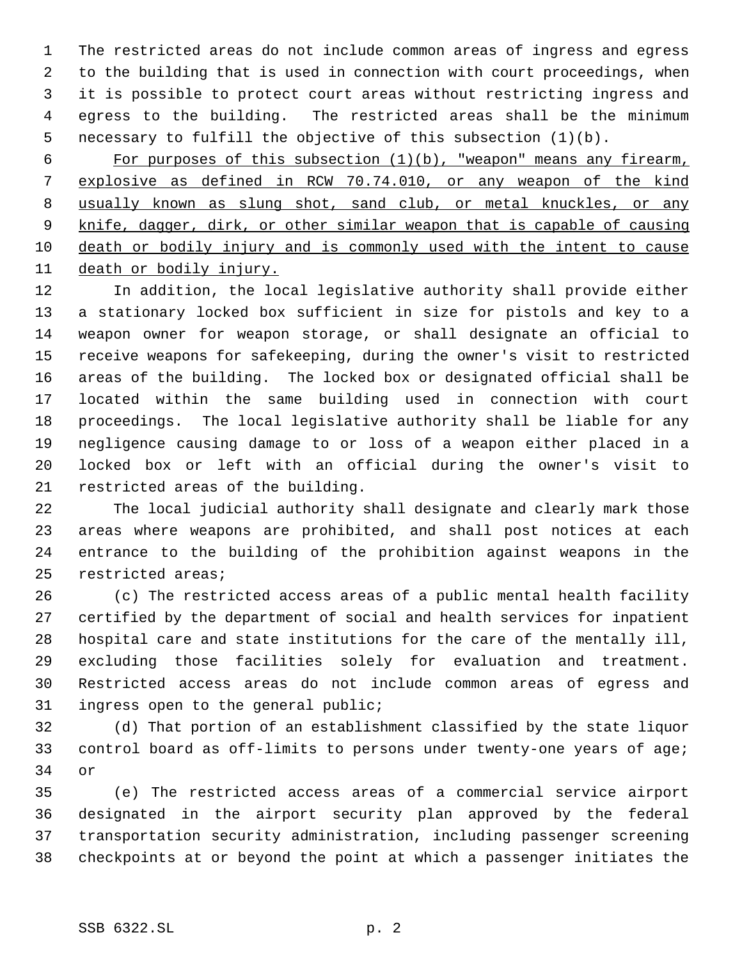The restricted areas do not include common areas of ingress and egress to the building that is used in connection with court proceedings, when it is possible to protect court areas without restricting ingress and egress to the building. The restricted areas shall be the minimum necessary to fulfill the objective of this subsection (1)(b).

6 For purposes of this subsection  $(1)(b)$ , "weapon" means any firearm, explosive as defined in RCW 70.74.010, or any weapon of the kind usually known as slung shot, sand club, or metal knuckles, or any knife, dagger, dirk, or other similar weapon that is capable of causing death or bodily injury and is commonly used with the intent to cause death or bodily injury.

 In addition, the local legislative authority shall provide either a stationary locked box sufficient in size for pistols and key to a weapon owner for weapon storage, or shall designate an official to receive weapons for safekeeping, during the owner's visit to restricted areas of the building. The locked box or designated official shall be located within the same building used in connection with court proceedings. The local legislative authority shall be liable for any negligence causing damage to or loss of a weapon either placed in a locked box or left with an official during the owner's visit to restricted areas of the building.

 The local judicial authority shall designate and clearly mark those areas where weapons are prohibited, and shall post notices at each entrance to the building of the prohibition against weapons in the restricted areas;

 (c) The restricted access areas of a public mental health facility certified by the department of social and health services for inpatient hospital care and state institutions for the care of the mentally ill, excluding those facilities solely for evaluation and treatment. Restricted access areas do not include common areas of egress and ingress open to the general public;

 (d) That portion of an establishment classified by the state liquor control board as off-limits to persons under twenty-one years of age; or

 (e) The restricted access areas of a commercial service airport designated in the airport security plan approved by the federal transportation security administration, including passenger screening checkpoints at or beyond the point at which a passenger initiates the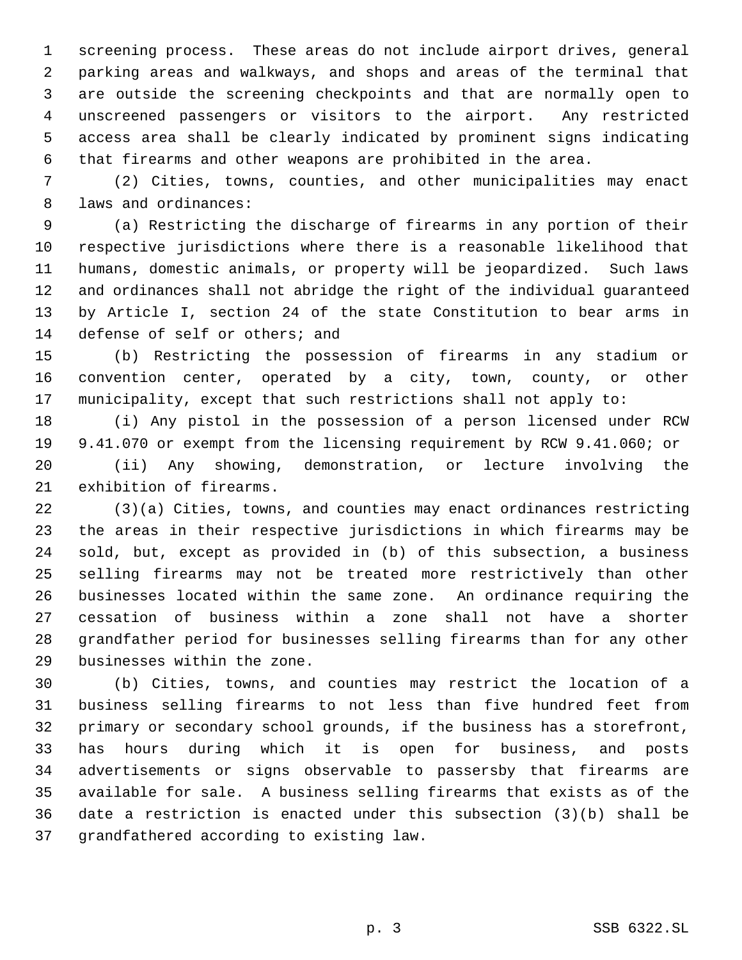screening process. These areas do not include airport drives, general parking areas and walkways, and shops and areas of the terminal that are outside the screening checkpoints and that are normally open to unscreened passengers or visitors to the airport. Any restricted access area shall be clearly indicated by prominent signs indicating that firearms and other weapons are prohibited in the area.

 (2) Cities, towns, counties, and other municipalities may enact laws and ordinances:

 (a) Restricting the discharge of firearms in any portion of their respective jurisdictions where there is a reasonable likelihood that humans, domestic animals, or property will be jeopardized. Such laws and ordinances shall not abridge the right of the individual guaranteed by Article I, section 24 of the state Constitution to bear arms in defense of self or others; and

 (b) Restricting the possession of firearms in any stadium or convention center, operated by a city, town, county, or other municipality, except that such restrictions shall not apply to:

 (i) Any pistol in the possession of a person licensed under RCW 9.41.070 or exempt from the licensing requirement by RCW 9.41.060; or (ii) Any showing, demonstration, or lecture involving the exhibition of firearms.

 (3)(a) Cities, towns, and counties may enact ordinances restricting the areas in their respective jurisdictions in which firearms may be sold, but, except as provided in (b) of this subsection, a business selling firearms may not be treated more restrictively than other businesses located within the same zone. An ordinance requiring the cessation of business within a zone shall not have a shorter grandfather period for businesses selling firearms than for any other businesses within the zone.

 (b) Cities, towns, and counties may restrict the location of a business selling firearms to not less than five hundred feet from primary or secondary school grounds, if the business has a storefront, has hours during which it is open for business, and posts advertisements or signs observable to passersby that firearms are available for sale. A business selling firearms that exists as of the date a restriction is enacted under this subsection (3)(b) shall be grandfathered according to existing law.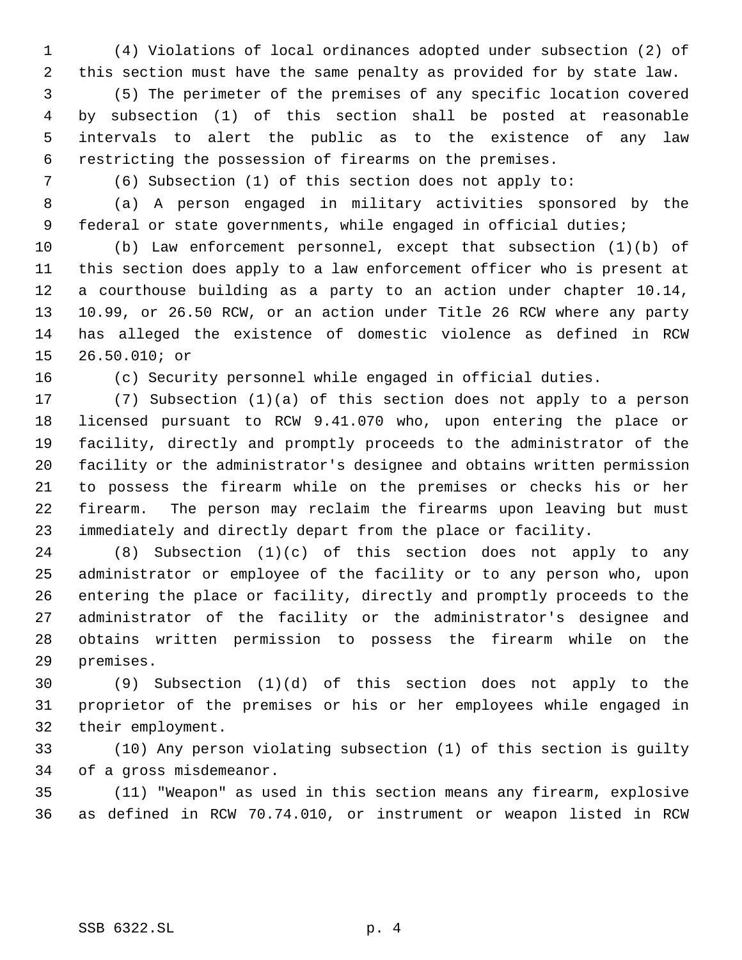(4) Violations of local ordinances adopted under subsection (2) of this section must have the same penalty as provided for by state law.

 (5) The perimeter of the premises of any specific location covered by subsection (1) of this section shall be posted at reasonable intervals to alert the public as to the existence of any law restricting the possession of firearms on the premises.

(6) Subsection (1) of this section does not apply to:

 (a) A person engaged in military activities sponsored by the 9 federal or state governments, while engaged in official duties;

 (b) Law enforcement personnel, except that subsection (1)(b) of this section does apply to a law enforcement officer who is present at a courthouse building as a party to an action under chapter 10.14, 10.99, or 26.50 RCW, or an action under Title 26 RCW where any party has alleged the existence of domestic violence as defined in RCW 26.50.010; or

(c) Security personnel while engaged in official duties.

 (7) Subsection (1)(a) of this section does not apply to a person licensed pursuant to RCW 9.41.070 who, upon entering the place or facility, directly and promptly proceeds to the administrator of the facility or the administrator's designee and obtains written permission to possess the firearm while on the premises or checks his or her firearm. The person may reclaim the firearms upon leaving but must immediately and directly depart from the place or facility.

 (8) Subsection (1)(c) of this section does not apply to any administrator or employee of the facility or to any person who, upon entering the place or facility, directly and promptly proceeds to the administrator of the facility or the administrator's designee and obtains written permission to possess the firearm while on the premises.

 (9) Subsection (1)(d) of this section does not apply to the proprietor of the premises or his or her employees while engaged in their employment.

 (10) Any person violating subsection (1) of this section is guilty of a gross misdemeanor.

 (11) "Weapon" as used in this section means any firearm, explosive as defined in RCW 70.74.010, or instrument or weapon listed in RCW